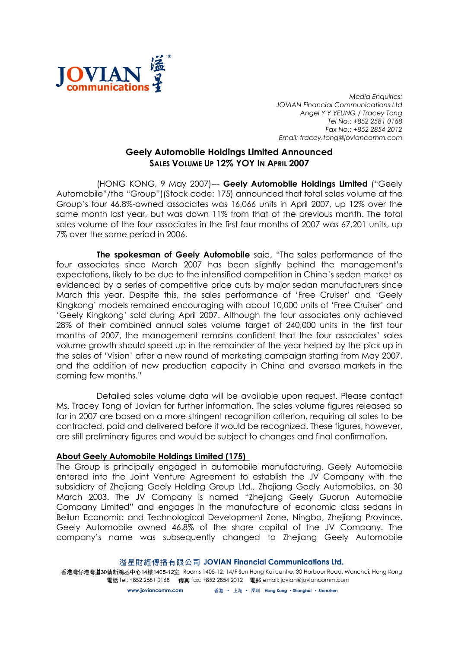

Media Enquiries: JOVIAN Financial Communications Ltd Angel Y Y YEUNG / Tracey Tong Tel No.: +852 2581 0168 Fax No.: +852 2854 2012 Email: tracey.tong@joviancomm.com

## Geely Automobile Holdings Limited Announced SALES VOLUME UP 12% YOY IN APRIL 2007

(HONG KONG, 9 May 2007)--- Geely Automobile Holdings Limited ("Geely Automobile"/the "Group")(Stock code: 175) announced that total sales volume at the Group's four 46.8%-owned associates was 16,066 units in April 2007, up 12% over the same month last year, but was down 11% from that of the previous month. The total sales volume of the four associates in the first four months of 2007 was 67,201 units, up 7% over the same period in 2006.

The spokesman of Geely Automobile said, "The sales performance of the four associates since March 2007 has been slightly behind the management's expectations, likely to be due to the intensified competition in China's sedan market as evidenced by a series of competitive price cuts by major sedan manufacturers since March this year. Despite this, the sales performance of 'Free Cruiser' and 'Geely Kingkong' models remained encouraging with about 10,000 units of 'Free Cruiser' and 'Geely Kingkong' sold during April 2007. Although the four associates only achieved 28% of their combined annual sales volume target of 240,000 units in the first four months of 2007, the management remains confident that the four associates' sales volume growth should speed up in the remainder of the year helped by the pick up in the sales of 'Vision' after a new round of marketing campaign starting from May 2007, and the addition of new production capacity in China and oversea markets in the coming few months."

Detailed sales volume data will be available upon request. Please contact Ms. Tracey Tong of Jovian for further information. The sales volume figures released so far in 2007 are based on a more stringent recognition criterion, requiring all sales to be contracted, paid and delivered before it would be recognized. These figures, however, are still preliminary figures and would be subject to changes and final confirmation.

## About Geely Automobile Holdings Limited (175)

The Group is principally engaged in automobile manufacturing. Geely Automobile entered into the Joint Venture Agreement to establish the JV Company with the subsidiary of Zhejiang Geely Holding Group Ltd., Zhejiang Geely Automobiles, on 30 March 2003. The JV Company is named "Zhejiang Geely Guorun Automobile Company Limited" and engages in the manufacture of economic class sedans in Beilun Economic and Technological Development Zone, Ningbo, Zhejiang Province. Geely Automobile owned 46.8% of the share capital of the JV Company. The company's name was subsequently changed to Zhejiang Geely Automobile

## 溢星財經傳播有限公司 JOVIAN Financial Communications Ltd.

香港灣仔港灣道30號新鴻基中心14樓1405-12室 Rooms 1405-12, 14/F Sun Hung Kai centre, 30 Harbour Road, Wanchai, Hong Kong 電話 tel: +852 2581 0168 傳真 fax: +852 2854 2012 電郵 email: jovian@joviancomm.com